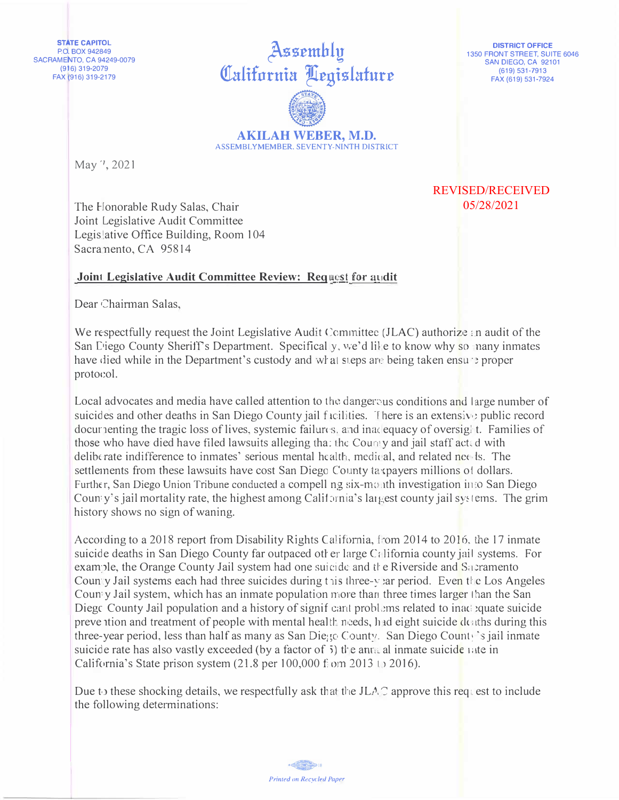**STATE CAPITOL** P.O. BOX 942849 **SACRAMENTO, CA 94249-0079**  $(916) 319 - 2079$ FAX (916) 319-2179

Assembly California Legislature **AKILAH WEBER, M.D.** 

**DISTRICT OFFICE** 1350 FRONT STREET, SUITE 6046 SAN DIEGO, CA 92101 (619) 531-7913 FAX (619) 531-7924

**REVISED/RECEIVED** 05/28/2021

ASSEMBLYMEMBER, SEVENTY-NINTH DISTRICT

May 7, 2021

The Honorable Rudy Salas, Chair Joint Legislative Audit Committee Legis ative Office Building, Room 104 Sacramento, CA 95814

## Joint Legislative Audit Committee Review: Request for audit

Dear Chairman Salas,

We respectfully request the Joint Legislative Audit Committee (JLAC) authorize an audit of the San Diego County Sheriff's Department. Specifical y, we'd like to know why so nany inmates have died while in the Department's custody and what steps are being taken ensure proper protocol.

Local advocates and media have called attention to the dangerous conditions and large number of suicides and other deaths in San Diego County jail facilities. There is an extensive public record docurrenting the tragic loss of lives, systemic failures, and inadequacy of oversight. Families of those who have died have filed lawsuits alleging that the County and jail staff acted with deliberate indifference to inmates' serious mental health, medical, and related needs. The settlements from these lawsuits have cost San Diego County taxpayers millions of dollars. Further, San Diego Union Tribune conducted a compell ng six-month investigation into San Diego County's jail mortality rate, the highest among California's largest county jail systems. The grim history shows no sign of waning.

According to a 2018 report from Disability Rights California, from 2014 to 2016, the 17 inmate suicide deaths in San Diego County far outpaced other large California county jail systems. For example, the Orange County Jail system had one suicide and the Riverside and Sacramento Country Jail systems each had three suicides during this three-vear period. Even the Los Angeles Country Jail system, which has an inmate population more than three times larger than the San Diego County Jail population and a history of significant problems related to inadequate suicide preve tion and treatment of people with mental health needs, had eight suicide deaths during this three-year period, less than half as many as San Diego County. San Diego County's jail inmate suicide rate has also vastly exceeded (by a factor of 5) the annual inmate suicide rate in California's State prison system  $(21.8 \text{ per } 100,000 \text{ from } 2013 \text{ to } 2016).$ 

Due to these shocking details, we respectfully ask that the JLAC approve this request to include the following determinations:

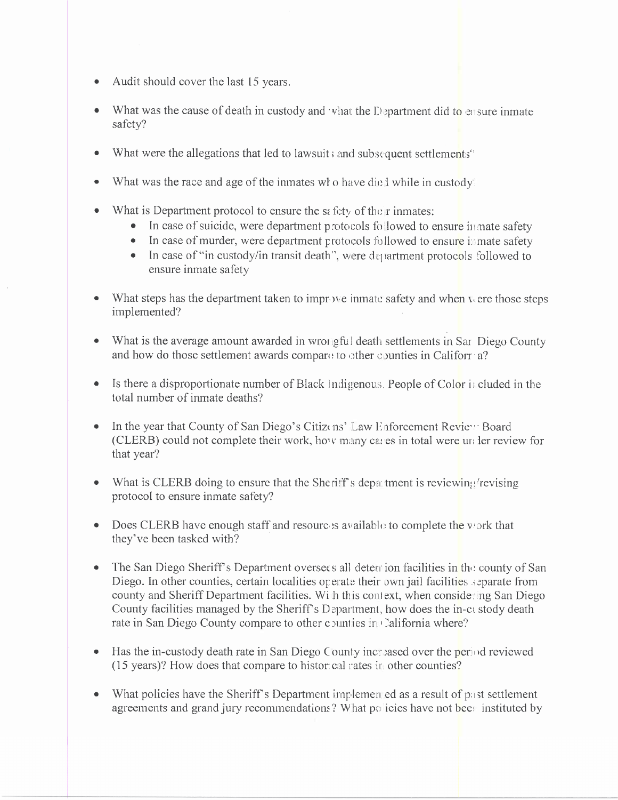- Audit should cover the last 15 years.
- What was the cause of death in custody and what the Department did to ensure inmate safety?
- What were the allegations that led to lawsuit; and subsequent settlements<sup>"</sup>  $\bullet$
- What was the race and age of the inmates who have died while in custody.
- What is Department protocol to ensure the sefety of their inmates:
	- In case of suicide, were department protocols followed to ensure in mate safety
	- In case of murder, were department protocols followed to ensure in mate safety
	- In case of "in custody/in transit death", were department protocols followed to ensure inmate safety
- What steps has the department taken to improve inmate safety and when were those steps implemented?
- What is the average amount awarded in wrong ful death settlements in Sar Diego County and how do those settlement awards compare to other counties in Califorr a?
- Is there a disproportionate number of Black Indigenous, People of Color is cluded in the total number of inmate deaths?
- In the year that County of San Diego's Citizens' Law Enforcement Review Board (CLERB) could not complete their work, how many cases in total were unless review for that year?
- What is CLERB doing to ensure that the Sheriff's department is reviewing revising protocol to ensure inmate safety?
- Does CLERB have enough staff and resource is available to complete the vork that they've been tasked with?
- The San Diego Sheriff's Department oversets all determine facilities in the county of San Diego. In other counties, certain localities operate their own jail facilities separate from county and Sheriff Department facilities. With this context, when considering San Diego County facilities managed by the Sheriff's Department, how does the in-ct stody death rate in San Diego County compare to other counties in California where?
- Has the in-custody death rate in San Diego County increased over the period reviewed (15 years)? How does that compare to histor cal rates in other counties?
- What policies have the Sheriff's Department implement as a result of past settlement agreements and grand jury recommendations? What policies have not been instituted by